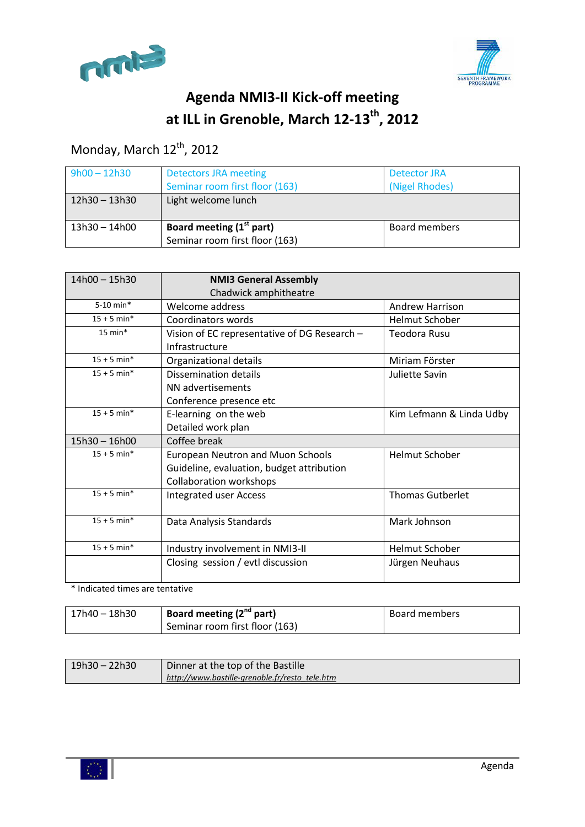



# **Agenda NMI3-II Kick-off meeting at ILL in Grenoble, March 12-13th , 2012**

## Monday, March 12<sup>th</sup>, 2012

| $9h00 - 12h30$  | <b>Detectors JRA meeting</b><br>Detector JRA<br>Seminar room first floor (163)<br>(Nigel Rhodes) |               |
|-----------------|--------------------------------------------------------------------------------------------------|---------------|
| 12h30 - 13h30   | Light welcome lunch                                                                              |               |
| $13h30 - 14h00$ | Board meeting (1 <sup>st</sup> part)<br>Seminar room first floor (163)                           | Board members |

| $14h00 - 15h30$ | <b>NMI3 General Assembly</b><br>Chadwick amphitheatre          |                          |  |  |
|-----------------|----------------------------------------------------------------|--------------------------|--|--|
| $5-10$ min*     | Welcome address<br><b>Andrew Harrison</b>                      |                          |  |  |
| $15 + 5$ min*   | Coordinators words                                             | <b>Helmut Schober</b>    |  |  |
| $15$ min*       | Vision of EC representative of DG Research -<br>Infrastructure | Teodora Rusu             |  |  |
| $15 + 5$ min*   | Organizational details                                         | Miriam Förster           |  |  |
| $15 + 5$ min*   | Dissemination details                                          | Juliette Savin           |  |  |
|                 | NN advertisements                                              |                          |  |  |
|                 | Conference presence etc                                        |                          |  |  |
| $15 + 5$ min*   | E-learning on the web                                          | Kim Lefmann & Linda Udby |  |  |
|                 | Detailed work plan                                             |                          |  |  |
| $15h30 - 16h00$ | Coffee break                                                   |                          |  |  |
| $15 + 5$ min*   | <b>European Neutron and Muon Schools</b>                       | <b>Helmut Schober</b>    |  |  |
|                 | Guideline, evaluation, budget attribution                      |                          |  |  |
|                 | <b>Collaboration workshops</b>                                 |                          |  |  |
| $15 + 5$ min*   | <b>Thomas Gutberlet</b><br><b>Integrated user Access</b>       |                          |  |  |
| $15 + 5$ min*   | Data Analysis Standards                                        | Mark Johnson             |  |  |
| $15 + 5$ min*   | Industry involvement in NMI3-II                                | <b>Helmut Schober</b>    |  |  |
|                 | Closing session / evtl discussion                              | Jürgen Neuhaus           |  |  |

\* Indicated times are tentative

| 17h40 – 18h30 | Board meeting (2 <sup>nd</sup> part) | Board members |
|---------------|--------------------------------------|---------------|
|               | Seminar room first floor (163)       |               |

| $19h30 - 22h30$ | Dinner at the top of the Bastille              |
|-----------------|------------------------------------------------|
|                 | http://www.bastille-grenoble.fr/resto_tele.htm |

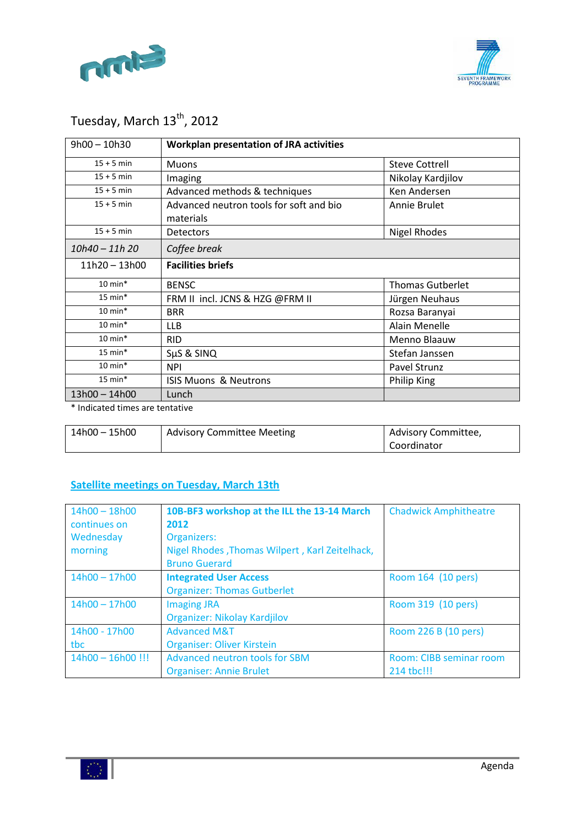



# Tuesday, March 13<sup>th</sup>, 2012

| $9h00 - 10h30$     | <b>Workplan presentation of JRA activities</b>                       |                      |  |  |
|--------------------|----------------------------------------------------------------------|----------------------|--|--|
| $15 + 5$ min       | <b>Steve Cottrell</b><br><b>Muons</b>                                |                      |  |  |
| $15 + 5$ min       | Imaging                                                              | Nikolay Kardjilov    |  |  |
| $15 + 5$ min       | Advanced methods & techniques                                        | Ken Andersen         |  |  |
| $15 + 5$ min       | Advanced neutron tools for soft and bio<br>Annie Brulet<br>materials |                      |  |  |
| $15 + 5$ min       | <b>Detectors</b>                                                     | <b>Nigel Rhodes</b>  |  |  |
| 10h40 - 11h 20     | Coffee break                                                         |                      |  |  |
| 11h20 - 13h00      | <b>Facilities briefs</b>                                             |                      |  |  |
| $10 \text{ min}^*$ | <b>Thomas Gutberlet</b><br><b>BENSC</b>                              |                      |  |  |
| $15 \text{ min}^*$ | FRM II incl. JCNS & HZG @FRM II                                      | Jürgen Neuhaus       |  |  |
| $10 \text{ min}^*$ | <b>BRR</b>                                                           | Rozsa Baranyai       |  |  |
| $10 \text{ min}^*$ | <b>LLB</b>                                                           | <b>Alain Menelle</b> |  |  |
| $10 \text{ min}^*$ | <b>RID</b>                                                           | Menno Blaauw         |  |  |
| $15 \text{ min}^*$ | SµS & SINQ                                                           | Stefan Janssen       |  |  |
| $10 \text{ min}^*$ | <b>NPI</b>                                                           | Pavel Strunz         |  |  |
| $15$ min*          | <b>ISIS Muons &amp; Neutrons</b><br>Philip King                      |                      |  |  |
| $13h00 - 14h00$    | Lunch                                                                |                      |  |  |

\* Indicated times are tentative

| 14h00 - 15h00 | <b>Advisory Committee Meeting</b> | Advisory Committee, |
|---------------|-----------------------------------|---------------------|
|               |                                   | Coordinator         |

### **Satellite meetings on Tuesday, March 13th**

| $14h00 - 18h00$<br>continues on<br>Wednesday<br>morning | 10B-BF3 workshop at the ILL the 13-14 March<br>2012<br>Organizers:<br>Nigel Rhodes, Thomas Wilpert, Karl Zeitelhack,<br><b>Bruno Guerard</b> | <b>Chadwick Amphitheatre</b>          |
|---------------------------------------------------------|----------------------------------------------------------------------------------------------------------------------------------------------|---------------------------------------|
| $14h00 - 17h00$                                         | <b>Integrated User Access</b><br><b>Organizer: Thomas Gutberlet</b>                                                                          | Room 164 (10 pers)                    |
| $14h00 - 17h00$                                         | <b>Imaging JRA</b><br>Organizer: Nikolay Kardjilov                                                                                           | Room 319 (10 pers)                    |
| 14h00 - 17h00<br>tbc                                    | <b>Advanced M&amp;T</b><br><b>Organiser: Oliver Kirstein</b>                                                                                 | Room 226 B (10 pers)                  |
| $14h00 - 16h00$ !!!                                     | Advanced neutron tools for SBM<br><b>Organiser: Annie Brulet</b>                                                                             | Room: CIBB seminar room<br>214 tbc!!! |

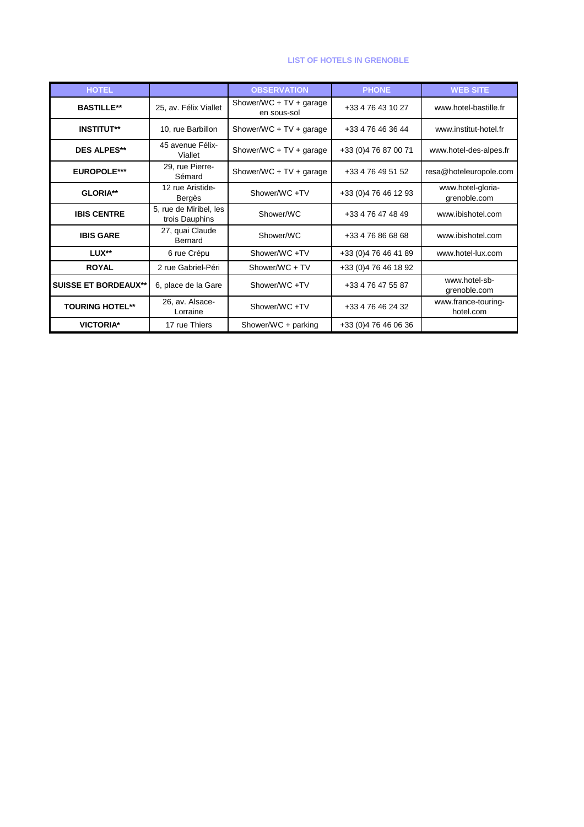#### **LIST OF HOTELS IN GRENOBLE**

| <b>HOTEL</b>                |                                          | <b>OBSERVATION</b>                     | <b>PHONE</b>          | <b>WEB SITE</b>                   |
|-----------------------------|------------------------------------------|----------------------------------------|-----------------------|-----------------------------------|
| <b>BASTILLE**</b>           | 25, av. Félix Viallet                    | Shower/WC + TV + garage<br>en sous-sol | +33 4 76 43 10 27     | www.hotel-bastille.fr             |
| <b>INSTITUT**</b>           | 10, rue Barbillon                        | Shower/WC + $TV$ + garage              | +33 4 76 46 36 44     | www.institut-hotel.fr             |
| <b>DES ALPES**</b>          | 45 avenue Félix-<br>Viallet              | Shower/WC + $TV$ + garage              | +33 (0) 4 76 87 00 71 | www.hotel-des-alpes.fr            |
| <b>EUROPOLE***</b>          | 29, rue Pierre-<br>Sémard                | Shower/WC + $TV$ + garage              | +33 4 76 49 51 52     | resa@hoteleuropole.com            |
| GLORIA**                    | 12 rue Aristide-<br>Bergès               | Shower/WC +TV                          | +33 (0) 4 76 46 12 93 | www.hotel-gloria-<br>grenoble.com |
| <b>IBIS CENTRE</b>          | 5, rue de Miribel, les<br>trois Dauphins | Shower/WC                              | +33 4 76 47 48 49     | www.ibishotel.com                 |
| <b>IBIS GARE</b>            | 27, quai Claude<br>Bernard               | Shower/WC                              | +33 4 76 86 68 68     | www.ibishotel.com                 |
| LUX**                       | 6 rue Crépu                              | Shower/WC+TV                           | +33 (0) 4 76 46 41 89 | www.hotel-lux.com                 |
| <b>ROYAL</b>                | 2 rue Gabriel-Péri                       | Shower/WC + TV                         | +33 (0) 4 76 46 18 92 |                                   |
| <b>SUISSE ET BORDEAUX**</b> | 6, place de la Gare                      | Shower/WC +TV                          | +33 4 76 47 55 87     | www.hotel-sb-<br>grenoble.com     |
| <b>TOURING HOTEL**</b>      | 26, av. Alsace-<br>Lorraine              | Shower/WC +TV                          | +33 4 76 46 24 32     | www.france-touring-<br>hotel.com  |
| <b>VICTORIA*</b>            | 17 rue Thiers                            | Shower/WC + parking                    | +33 (0) 4 76 46 06 36 |                                   |